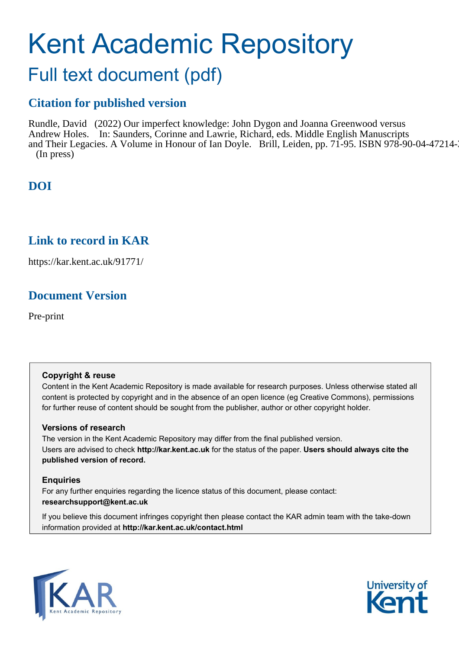# Kent Academic Repository

## Full text document (pdf)

### **Citation for published version**

Rundle, David (2022) Our imperfect knowledge: John Dygon and Joanna Greenwood versus Andrew Holes. In: Saunders, Corinne and Lawrie, Richard, eds. Middle English Manuscripts and Their Legacies. A Volume in Honour of Ian Doyle. Brill, Leiden, pp. 71-95. ISBN 978-90-04-47214-3. (In press)

## **DOI**

## **Link to record in KAR**

https://kar.kent.ac.uk/91771/

## **Document Version**

Pre-print

#### **Copyright & reuse**

Content in the Kent Academic Repository is made available for research purposes. Unless otherwise stated all content is protected by copyright and in the absence of an open licence (eg Creative Commons), permissions for further reuse of content should be sought from the publisher, author or other copyright holder.

#### **Versions of research**

The version in the Kent Academic Repository may differ from the final published version. Users are advised to check **http://kar.kent.ac.uk** for the status of the paper. **Users should always cite the published version of record.**

#### **Enquiries**

For any further enquiries regarding the licence status of this document, please contact: **researchsupport@kent.ac.uk**

If you believe this document infringes copyright then please contact the KAR admin team with the take-down information provided at **http://kar.kent.ac.uk/contact.html**



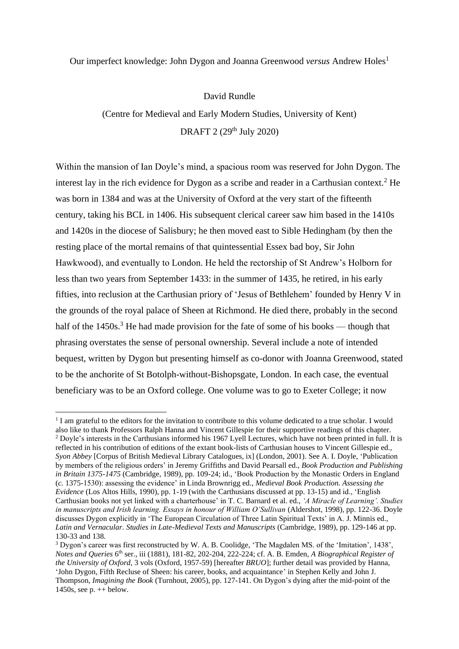#### Our imperfect knowledge: John Dygon and Joanna Greenwood *versus* Andrew Holes<sup>1</sup>

David Rundle

(Centre for Medieval and Early Modern Studies, University of Kent) DRAFT 2 (29<sup>th</sup> July 2020)

Within the mansion of Ian Doyle's mind, a spacious room was reserved for John Dygon. The interest lay in the rich evidence for Dygon as a scribe and reader in a Carthusian context.<sup>2</sup> He was born in 1384 and was at the University of Oxford at the very start of the fifteenth century, taking his BCL in 1406. His subsequent clerical career saw him based in the 1410s and 1420s in the diocese of Salisbury; he then moved east to Sible Hedingham (by then the resting place of the mortal remains of that quintessential Essex bad boy, Sir John Hawkwood), and eventually to London. He held the rectorship of St Andrew's Holborn for less than two years from September 1433: in the summer of 1435, he retired, in his early fifties, into reclusion at the Carthusian priory of 'Jesus of Bethlehem' founded by Henry V in the grounds of the royal palace of Sheen at Richmond. He died there, probably in the second half of the  $1450s$ .<sup>3</sup> He had made provision for the fate of some of his books — though that phrasing overstates the sense of personal ownership. Several include a note of intended bequest, written by Dygon but presenting himself as co-donor with Joanna Greenwood, stated to be the anchorite of St Botolph-without-Bishopsgate, London. In each case, the eventual beneficiary was to be an Oxford college. One volume was to go to Exeter College; it now

<sup>&</sup>lt;sup>1</sup> I am grateful to the editors for the invitation to contribute to this volume dedicated to a true scholar. I would also like to thank Professors Ralph Hanna and Vincent Gillespie for their supportive readings of this chapter. <sup>2</sup> Doyle's interests in the Carthusians informed his 1967 Lyell Lectures, which have not been printed in full. It is reflected in his contribution of editions of the extant book-lists of Carthusian houses to Vincent Gillespie ed., *Syon Abbey* [Corpus of British Medieval Library Catalogues, ix] (London, 2001). See A. I. Doyle, 'Publication by members of the religious orders' in Jeremy Griffiths and David Pearsall ed., *Book Production and Publishing in Britain 1375-1475* (Cambridge, 1989), pp. 109-24; id., 'Book Production by the Monastic Orders in England (*c.* 1375-1530): assessing the evidence' in Linda Brownrigg ed., *Medieval Book Production. Assessing the Evidence* (Los Altos Hills, 1990), pp. 1-19 (with the Carthusians discussed at pp. 13-15) and id., 'English Carthusian books not yet linked with a charterhouse' in T. C. Barnard et al. ed., *'A Miracle of Learning'. Studies*  in manuscripts and Irish learning. Essays in honour of William O'Sullivan (Aldershot, 1998), pp. 122-36. Doyle discusses Dygon explicitly in 'The European Circulation of Three Latin Spiritual Texts' in A. J. Minnis ed., *Latin and Vernacular. Studies in Late-Medieval Texts and Manuscripts* (Cambridge, 1989), pp. 129-146 at pp. 130-33 and 138.

<sup>3</sup> Dygon's career was first reconstructed by W. A. B. Coolidge, 'The Magdalen MS. of the 'Imitation', 1438', *Notes and Queries* 6 th ser., iii (1881), 181-82, 202-204, 222-224; cf. A. B. Emden, *A Biographical Register of the University of Oxford*, 3 vols (Oxford, 1957-59) [hereafter *BRUO*]; further detail was provided by Hanna, 'John Dygon, Fifth Recluse of Sheen: his career, books, and acquaintance' in Stephen Kelly and John J. Thompson, *Imagining the Book* (Turnhout, 2005), pp. 127-141. On Dygon's dying after the mid-point of the 1450s, see  $p_{n+1}$  below.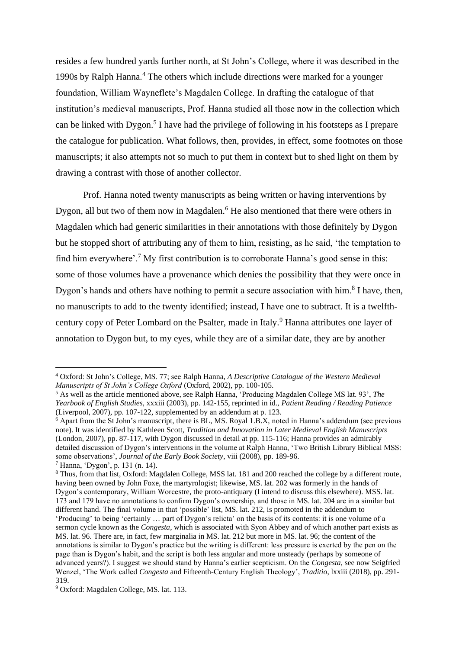resides a few hundred yards further north, at St John's College, where it was described in the 1990s by Ralph Hanna.<sup>4</sup> The others which include directions were marked for a younger foundation, William Wayneflete's Magdalen College. In drafting the catalogue of that institution's medieval manuscripts, Prof. Hanna studied all those now in the collection which can be linked with Dygon. 5 I have had the privilege of following in his footsteps as I prepare the catalogue for publication. What follows, then, provides, in effect, some footnotes on those manuscripts; it also attempts not so much to put them in context but to shed light on them by drawing a contrast with those of another collector.

Prof. Hanna noted twenty manuscripts as being written or having interventions by Dygon, all but two of them now in Magdalen.<sup>6</sup> He also mentioned that there were others in Magdalen which had generic similarities in their annotations with those definitely by Dygon but he stopped short of attributing any of them to him, resisting, as he said, 'the temptation to find him everywhere'.<sup>7</sup> My first contribution is to corroborate Hanna's good sense in this: some of those volumes have a provenance which denies the possibility that they were once in Dygon's hands and others have nothing to permit a secure association with him.<sup>8</sup> I have, then, no manuscripts to add to the twenty identified; instead, I have one to subtract. It is a twelfthcentury copy of Peter Lombard on the Psalter, made in Italy.<sup>9</sup> Hanna attributes one layer of annotation to Dygon but, to my eyes, while they are of a similar date, they are by another

<sup>4</sup> Oxford: St John's College, MS. 77; see Ralph Hanna, *A Descriptive Catalogue of the Western Medieval Manuscripts of St John's College Oxford* (Oxford, 2002), pp. 100-105.

<sup>5</sup> As well as the article mentioned above, see Ralph Hanna, 'Producing Magdalen College MS lat. 93', *The Yearbook of English Studies*, xxxiii (2003), pp. 142-155, reprinted in id., *Patient Reading / Reading Patience*  (Liverpool, 2007), pp. 107-122, supplemented by an addendum at p. 123.

<sup>&</sup>lt;sup>6</sup> Apart from the St John's manuscript, there is BL, MS. Royal 1.B.X, noted in Hanna's addendum (see previous note). It was identified by Kathleen Scott, *Tradition and Innovation in Later Medieval English Manuscripts*  (London, 2007), pp. 87-117, with Dygon discussed in detail at pp. 115-116; Hanna provides an admirably detailed discussion of Dygon's interventions in the volume at Ralph Hanna, 'Two British Library Biblical MSS: some observations', *Journal of the Early Book Society*, viii (2008), pp. 189-96.

<sup>7</sup> Hanna, 'Dygon', p. 131 (n. 14).

<sup>8</sup> Thus, from that list, Oxford: Magdalen College, MSS lat. 181 and 200 reached the college by a different route, having been owned by John Foxe, the martyrologist; likewise, MS. lat. 202 was formerly in the hands of Dygon's contemporary, William Worcestre, the proto-antiquary (I intend to discuss this elsewhere). MSS. lat. 173 and 179 have no annotations to confirm Dygon's ownership, and those in MS. lat. 204 are in a similar but different hand. The final volume in that 'possible' list, MS. lat. 212, is promoted in the addendum to 'Producing' to being 'certainly … part of Dygon's relicta' on the basis of its contents: it is one volume of a sermon cycle known as the *Congesta*, which is associated with Syon Abbey and of which another part exists as MS. lat. 96. There are, in fact, few marginalia in MS. lat. 212 but more in MS. lat. 96; the content of the annotations is similar to Dygon's practice but the writing is different: less pressure is exerted by the pen on the page than is Dygon's habit, and the script is both less angular and more unsteady (perhaps by someone of advanced years?). I suggest we should stand by Hanna's earlier scepticism. On the *Congesta*, see now Seigfried Wenzel, 'The Work called *Congesta* and Fifteenth-Century English Theology', *Traditio*, lxxiii (2018), pp. 291- 319.

<sup>9</sup> Oxford: Magdalen College, MS. lat. 113.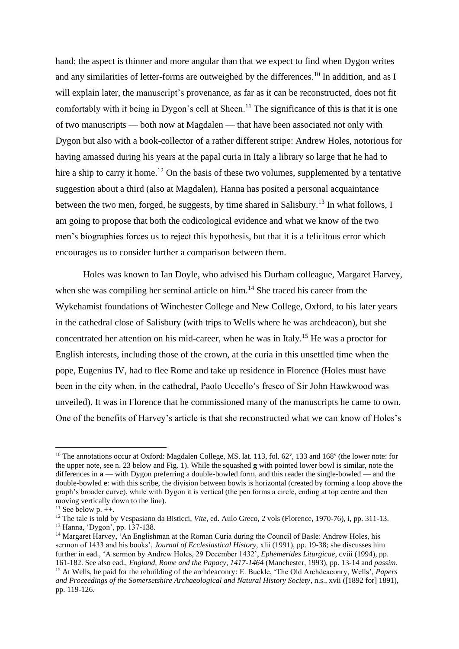hand: the aspect is thinner and more angular than that we expect to find when Dygon writes and any similarities of letter-forms are outweighed by the differences.<sup>10</sup> In addition, and as I will explain later, the manuscript's provenance, as far as it can be reconstructed, does not fit comfortably with it being in Dygon's cell at Sheen.<sup>11</sup> The significance of this is that it is one of two manuscripts — both now at Magdalen — that have been associated not only with Dygon but also with a book-collector of a rather different stripe: Andrew Holes, notorious for having amassed during his years at the papal curia in Italy a library so large that he had to hire a ship to carry it home.<sup>12</sup> On the basis of these two volumes, supplemented by a tentative suggestion about a third (also at Magdalen), Hanna has posited a personal acquaintance between the two men, forged, he suggests, by time shared in Salisbury.<sup>13</sup> In what follows, I am going to propose that both the codicological evidence and what we know of the two men's biographies forces us to reject this hypothesis, but that it is a felicitous error which encourages us to consider further a comparison between them.

Holes was known to Ian Doyle, who advised his Durham colleague, Margaret Harvey, when she was compiling her seminal article on him.<sup>14</sup> She traced his career from the Wykehamist foundations of Winchester College and New College, Oxford, to his later years in the cathedral close of Salisbury (with trips to Wells where he was archdeacon), but she concentrated her attention on his mid-career, when he was in Italy.<sup>15</sup> He was a proctor for English interests, including those of the crown, at the curia in this unsettled time when the pope, Eugenius IV, had to flee Rome and take up residence in Florence (Holes must have been in the city when, in the cathedral, Paolo Uccello's fresco of Sir John Hawkwood was unveiled). It was in Florence that he commissioned many of the manuscripts he came to own. One of the benefits of Harvey's article is that she reconstructed what we can know of Holes's

 $10$  The annotations occur at Oxford: Magdalen College, MS. lat. 113, fol. 62<sup>v</sup>, 133 and 168<sup>v</sup> (the lower note: for the upper note, see n. 23 below and Fig. 1). While the squashed **g** with pointed lower bowl is similar, note the differences in **a** — with Dygon preferring a double-bowled form, and this reader the single-bowled — and the double-bowled **e**: with this scribe, the division between bowls is horizontal (created by forming a loop above the graph's broader curve), while with Dygon it is vertical (the pen forms a circle, ending at top centre and then moving vertically down to the line).

 $11$  See below p.  $++$ .

<sup>&</sup>lt;sup>12</sup> The tale is told by Vespasiano da Bisticci, *Vite*, ed. Aulo Greco, 2 vols (Florence, 1970-76), i, pp. 311-13. <sup>13</sup> Hanna, 'Dygon', pp. 137-138.

<sup>&</sup>lt;sup>14</sup> Margaret Harvey, <sup>2</sup>An Englishman at the Roman Curia during the Council of Basle: Andrew Holes, his sermon of 1433 and his books', *Journal of Ecclesiastical History,* xlii (1991), pp. 19-38; she discusses him further in ead., 'A sermon by Andrew Holes, 29 December 1432', *Ephemerides Liturgicae*, cviii (1994), pp. 161-182. See also ead., *England, Rome and the Papacy, 1417-1464* (Manchester, 1993), pp. 13-14 and *passim*.

<sup>15</sup> At Wells, he paid for the rebuilding of the archdeaconry: E. Buckle, 'The Old Archdeaconry, Wells', *Papers and Proceedings of the Somersetshire Archaeological and Natural History Society*, n.s., xvii ([1892 for] 1891), pp. 119-126.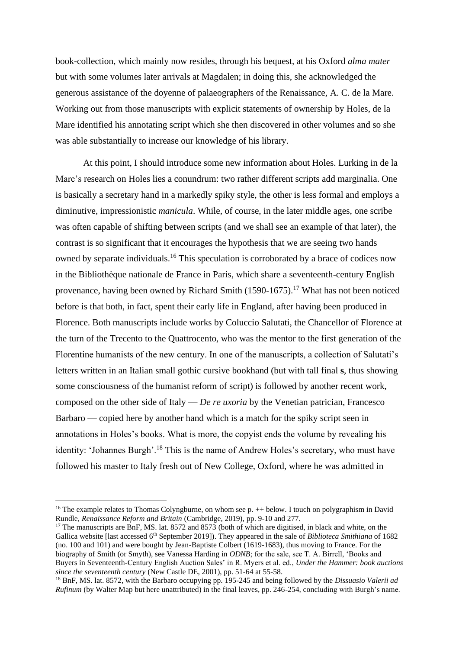book-collection, which mainly now resides, through his bequest, at his Oxford *alma mater* but with some volumes later arrivals at Magdalen; in doing this, she acknowledged the generous assistance of the doyenne of palaeographers of the Renaissance, A. C. de la Mare. Working out from those manuscripts with explicit statements of ownership by Holes, de la Mare identified his annotating script which she then discovered in other volumes and so she was able substantially to increase our knowledge of his library.

At this point, I should introduce some new information about Holes. Lurking in de la Mare's research on Holes lies a conundrum: two rather different scripts add marginalia. One is basically a secretary hand in a markedly spiky style, the other is less formal and employs a diminutive, impressionistic *manicula*. While, of course, in the later middle ages, one scribe was often capable of shifting between scripts (and we shall see an example of that later), the contrast is so significant that it encourages the hypothesis that we are seeing two hands owned by separate individuals.<sup>16</sup> This speculation is corroborated by a brace of codices now in the Bibliothèque nationale de France in Paris, which share a seventeenth-century English provenance, having been owned by Richard Smith (1590-1675).<sup>17</sup> What has not been noticed before is that both, in fact, spent their early life in England, after having been produced in Florence. Both manuscripts include works by Coluccio Salutati, the Chancellor of Florence at the turn of the Trecento to the Quattrocento, who was the mentor to the first generation of the Florentine humanists of the new century. In one of the manuscripts, a collection of Salutati's letters written in an Italian small gothic cursive bookhand (but with tall final **s**, thus showing some consciousness of the humanist reform of script) is followed by another recent work, composed on the other side of Italy — *De re uxoria* by the Venetian patrician, Francesco Barbaro — copied here by another hand which is a match for the spiky script seen in annotations in Holes's books. What is more, the copyist ends the volume by revealing his identity: 'Johannes Burgh'.<sup>18</sup> This is the name of Andrew Holes's secretary, who must have followed his master to Italy fresh out of New College, Oxford, where he was admitted in

<sup>&</sup>lt;sup>16</sup> The example relates to Thomas Colyngburne, on whom see p.  $++$  below. I touch on polygraphism in David Rundle, *Renaissance Reform and Britain* (Cambridge, 2019), pp. 9-10 and 277.

<sup>&</sup>lt;sup>17</sup> The manuscripts are BnF, MS. lat.  $8572$  and  $8573$  (both of which are digitised, in black and white, on the Gallica website [last accessed 6th September 2019]). They appeared in the sale of *Biblioteca Smithiana* of 1682 (no. 100 and 101) and were bought by Jean-Baptiste Colbert (1619-1683), thus moving to France. For the biography of Smith (or Smyth), see Vanessa Harding in *ODNB*; for the sale, see T. A. Birrell, 'Books and Buyers in Seventeenth-Century English Auction Sales' in R. Myers et al. ed., *Under the Hammer: book auctions since the seventeenth century* (New Castle DE, 2001), pp. 51-64 at 55-58.

<sup>18</sup> BnF, MS. lat. 8572, with the Barbaro occupying pp. 195-245 and being followed by the *Dissuasio Valerii ad Rufinum* (by Walter Map but here unattributed) in the final leaves, pp. 246-254, concluding with Burgh's name.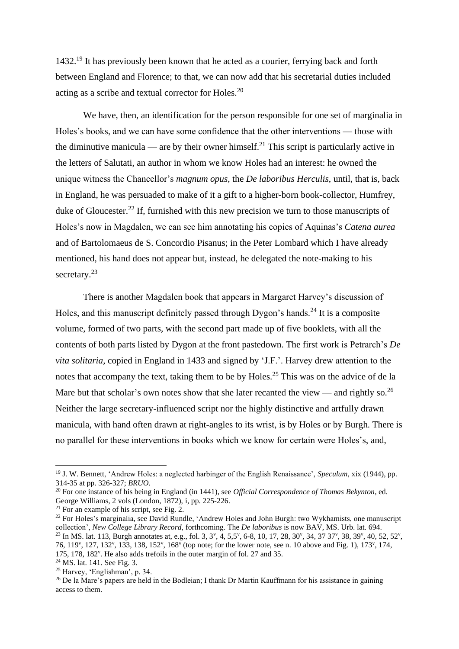1432. <sup>19</sup> It has previously been known that he acted as a courier, ferrying back and forth between England and Florence; to that, we can now add that his secretarial duties included acting as a scribe and textual corrector for Holes.<sup>20</sup>

We have, then, an identification for the person responsible for one set of marginalia in Holes's books, and we can have some confidence that the other interventions — those with the diminutive manicula — are by their owner himself.<sup>21</sup> This script is particularly active in the letters of Salutati, an author in whom we know Holes had an interest: he owned the unique witness the Chancellor's *magnum opus*, the *De laboribus Herculis*, until, that is, back in England, he was persuaded to make of it a gift to a higher-born book-collector, Humfrey, duke of Gloucester.<sup>22</sup> If, furnished with this new precision we turn to those manuscripts of Holes's now in Magdalen, we can see him annotating his copies of Aquinas's *Catena aurea*  and of Bartolomaeus de S. Concordio Pisanus; in the Peter Lombard which I have already mentioned, his hand does not appear but, instead, he delegated the note-making to his secretary.<sup>23</sup>

There is another Magdalen book that appears in Margaret Harvey's discussion of Holes, and this manuscript definitely passed through Dygon's hands.<sup>24</sup> It is a composite volume, formed of two parts, with the second part made up of five booklets, with all the contents of both parts listed by Dygon at the front pastedown. The first work is Petrarch's *De vita solitaria*, copied in England in 1433 and signed by 'J.F.'. Harvey drew attention to the notes that accompany the text, taking them to be by Holes.<sup>25</sup> This was on the advice of de la Mare but that scholar's own notes show that she later recanted the view — and rightly so.<sup>26</sup> Neither the large secretary-influenced script nor the highly distinctive and artfully drawn manicula, with hand often drawn at right-angles to its wrist, is by Holes or by Burgh. There is no parallel for these interventions in books which we know for certain were Holes's, and,

<sup>19</sup> J. W. Bennett, 'Andrew Holes: a neglected harbinger of the English Renaissance', *Speculum*, xix (1944), pp. 314-35 at pp. 326-327; *BRUO*.

<sup>20</sup> For one instance of his being in England (in 1441), see *Official Correspondence of Thomas Bekynton*, ed. George Williams, 2 vols (London, 1872), i, pp. 225-226.

 $21$  For an example of his script, see Fig. 2.

<sup>&</sup>lt;sup>22</sup> For Holes's marginalia, see David Rundle, 'Andrew Holes and John Burgh: two Wykhamists, one manuscript collection', *New College Library Record*, forthcoming. The *De laboribus* is now BAV, MS. Urb. lat. 694. <sup>23</sup> In MS. lat. 113, Burgh annotates at, e.g., fol. 3, 3<sup>v</sup>, 4, 5,5<sup>v</sup>, 6-8, 10, 17, 28, 30<sup>v</sup>, 34, 37 37<sup>v</sup>, 38, 39<sup>v</sup>, 40, 52, 52<sup>v</sup>, 76, 119<sup>v</sup>, 127, 132<sup>v</sup>, 133, 138, 152<sup>v</sup>, 168<sup>v</sup> (top note; for the lower note, see n. 10 above and Fig. 1), 173<sup>v</sup>, 174, 175, 178, 182<sup>v</sup> . He also adds trefoils in the outer margin of fol. 27 and 35.

<sup>24</sup> MS. lat. 141. See Fig. 3.

<sup>25</sup> Harvey, 'Englishman', p. 34.

<sup>&</sup>lt;sup>26</sup> De la Mare's papers are held in the Bodleian; I thank Dr Martin Kauffmann for his assistance in gaining access to them.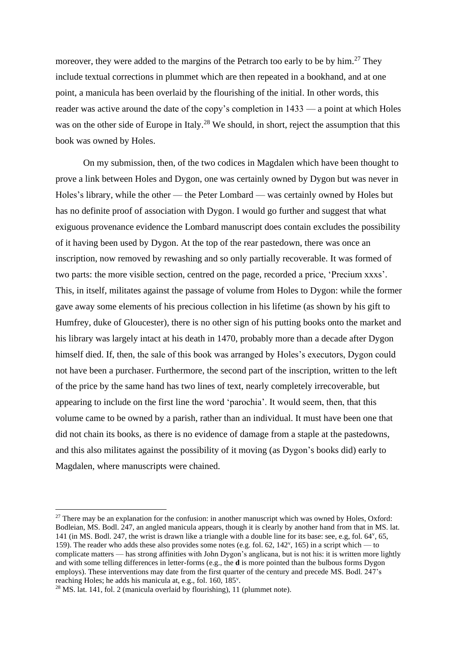moreover, they were added to the margins of the Petrarch too early to be by him.<sup>27</sup> They include textual corrections in plummet which are then repeated in a bookhand, and at one point, a manicula has been overlaid by the flourishing of the initial. In other words, this reader was active around the date of the copy's completion in 1433 — a point at which Holes was on the other side of Europe in Italy.<sup>28</sup> We should, in short, reject the assumption that this book was owned by Holes.

On my submission, then, of the two codices in Magdalen which have been thought to prove a link between Holes and Dygon, one was certainly owned by Dygon but was never in Holes's library, while the other — the Peter Lombard — was certainly owned by Holes but has no definite proof of association with Dygon. I would go further and suggest that what exiguous provenance evidence the Lombard manuscript does contain excludes the possibility of it having been used by Dygon. At the top of the rear pastedown, there was once an inscription, now removed by rewashing and so only partially recoverable. It was formed of two parts: the more visible section, centred on the page, recorded a price, 'Precium xxxs'. This, in itself, militates against the passage of volume from Holes to Dygon: while the former gave away some elements of his precious collection in his lifetime (as shown by his gift to Humfrey, duke of Gloucester), there is no other sign of his putting books onto the market and his library was largely intact at his death in 1470, probably more than a decade after Dygon himself died. If, then, the sale of this book was arranged by Holes's executors, Dygon could not have been a purchaser. Furthermore, the second part of the inscription, written to the left of the price by the same hand has two lines of text, nearly completely irrecoverable, but appearing to include on the first line the word 'parochia'. It would seem, then, that this volume came to be owned by a parish, rather than an individual. It must have been one that did not chain its books, as there is no evidence of damage from a staple at the pastedowns, and this also militates against the possibility of it moving (as Dygon's books did) early to Magdalen, where manuscripts were chained.

 $27$  There may be an explanation for the confusion: in another manuscript which was owned by Holes, Oxford: Bodleian, MS. Bodl. 247, an angled manicula appears, though it is clearly by another hand from that in MS. lat. 141 (in MS. Bodl. 247, the wrist is drawn like a triangle with a double line for its base: see, e.g, fol. 64<sup>v</sup> , 65, 159). The reader who adds these also provides some notes (e.g. fol. 62, 142<sup>y</sup>, 165) in a script which — to complicate matters — has strong affinities with John Dygon's anglicana, but is not his: it is written more lightly and with some telling differences in letter-forms (e.g., the **d** is more pointed than the bulbous forms Dygon employs). These interventions may date from the first quarter of the century and precede MS. Bodl. 247's reaching Holes; he adds his manicula at, e.g., fol. 160, 185<sup>v</sup>.

<sup>28</sup> MS. lat. 141, fol. 2 (manicula overlaid by flourishing), 11 (plummet note).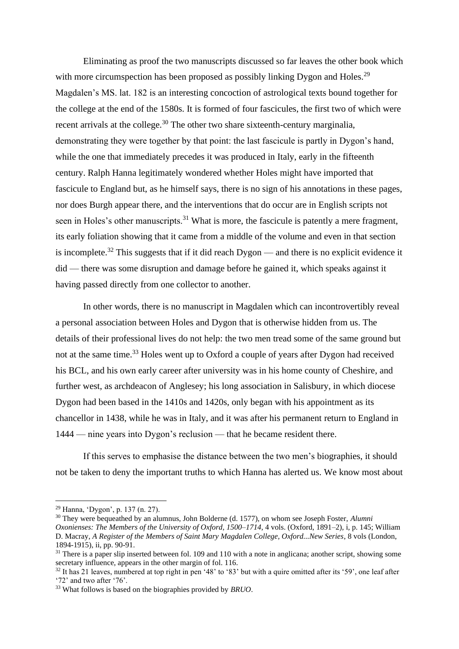Eliminating as proof the two manuscripts discussed so far leaves the other book which with more circumspection has been proposed as possibly linking Dygon and Holes.<sup>29</sup> Magdalen's MS. lat. 182 is an interesting concoction of astrological texts bound together for the college at the end of the 1580s. It is formed of four fascicules, the first two of which were recent arrivals at the college.<sup>30</sup> The other two share sixteenth-century marginalia, demonstrating they were together by that point: the last fascicule is partly in Dygon's hand, while the one that immediately precedes it was produced in Italy, early in the fifteenth century. Ralph Hanna legitimately wondered whether Holes might have imported that fascicule to England but, as he himself says, there is no sign of his annotations in these pages, nor does Burgh appear there, and the interventions that do occur are in English scripts not seen in Holes's other manuscripts.<sup>31</sup> What is more, the fascicule is patently a mere fragment, its early foliation showing that it came from a middle of the volume and even in that section is incomplete.<sup>32</sup> This suggests that if it did reach Dygon — and there is no explicit evidence it did — there was some disruption and damage before he gained it, which speaks against it having passed directly from one collector to another.

In other words, there is no manuscript in Magdalen which can incontrovertibly reveal a personal association between Holes and Dygon that is otherwise hidden from us. The details of their professional lives do not help: the two men tread some of the same ground but not at the same time.<sup>33</sup> Holes went up to Oxford a couple of years after Dygon had received his BCL, and his own early career after university was in his home county of Cheshire, and further west, as archdeacon of Anglesey; his long association in Salisbury, in which diocese Dygon had been based in the 1410s and 1420s, only began with his appointment as its chancellor in 1438, while he was in Italy, and it was after his permanent return to England in 1444 — nine years into Dygon's reclusion — that he became resident there.

If this serves to emphasise the distance between the two men's biographies, it should not be taken to deny the important truths to which Hanna has alerted us. We know most about

<sup>29</sup> Hanna, 'Dygon', p. 137 (n. 27).

<sup>30</sup> They were bequeathed by an alumnus, John Bolderne (d. 1577), on whom see Joseph Foster, *Alumni* 

*Oxonienses: The Members of the University of Oxford, 1500–1714, 4 vols.* (Oxford, 1891–2), i, p. 145; William D. Macray, *A Register of the Members of Saint Mary Magdalen College, Oxford...New Series*, 8 vols (London, 1894-1915), ii, pp. 90-91.

 $31$  There is a paper slip inserted between fol. 109 and 110 with a note in anglicana; another script, showing some secretary influence, appears in the other margin of fol. 116.

<sup>&</sup>lt;sup>32</sup> It has 21 leaves, numbered at top right in pen '48' to '83' but with a quire omitted after its '59', one leaf after '72' and two after '76'.

<sup>33</sup> What follows is based on the biographies provided by *BRUO*.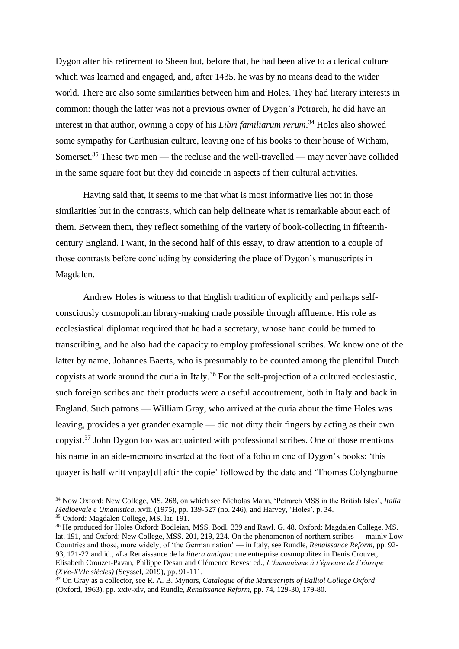Dygon after his retirement to Sheen but, before that, he had been alive to a clerical culture which was learned and engaged, and, after 1435, he was by no means dead to the wider world. There are also some similarities between him and Holes. They had literary interests in common: though the latter was not a previous owner of Dygon's Petrarch, he did have an interest in that author, owning a copy of his *Libri familiarum rerum*. <sup>34</sup> Holes also showed some sympathy for Carthusian culture, leaving one of his books to their house of Witham, Somerset.<sup>35</sup> These two men — the recluse and the well-travelled — may never have collided in the same square foot but they did coincide in aspects of their cultural activities.

Having said that, it seems to me that what is most informative lies not in those similarities but in the contrasts, which can help delineate what is remarkable about each of them. Between them, they reflect something of the variety of book-collecting in fifteenthcentury England. I want, in the second half of this essay, to draw attention to a couple of those contrasts before concluding by considering the place of Dygon's manuscripts in Magdalen.

Andrew Holes is witness to that English tradition of explicitly and perhaps selfconsciously cosmopolitan library-making made possible through affluence. His role as ecclesiastical diplomat required that he had a secretary, whose hand could be turned to transcribing, and he also had the capacity to employ professional scribes. We know one of the latter by name, Johannes Baerts, who is presumably to be counted among the plentiful Dutch copyists at work around the curia in Italy.<sup>36</sup> For the self-projection of a cultured ecclesiastic, such foreign scribes and their products were a useful accoutrement, both in Italy and back in England. Such patrons — William Gray, who arrived at the curia about the time Holes was leaving, provides a yet grander example — did not dirty their fingers by acting as their own copyist. $37$  John Dygon too was acquainted with professional scribes. One of those mentions his name in an aide-memoire inserted at the foot of a folio in one of Dygon's books: 'this quayer is half writt vnpay[d] aftir the copie' followed by the date and 'Thomas Colyngburne

<sup>34</sup> Now Oxford: New College, MS. 268, on which see Nicholas Mann, 'Petrarch MSS in the British Isles', *Italia Medioevale e Umanistica*, xviii (1975), pp. 139-527 (no. 246), and Harvey, 'Holes', p. 34.

<sup>35</sup> Oxford: Magdalen College, MS. lat. 191.

<sup>36</sup> He produced for Holes Oxford: Bodleian, MSS. Bodl. 339 and Rawl. G. 48, Oxford: Magdalen College, MS. lat. 191, and Oxford: New College, MSS. 201, 219, 224. On the phenomenon of northern scribes — mainly Low Countries and those, more widely, of 'the German nation' — in Italy, see Rundle, *Renaissance Reform*, pp. 92- 93, 121-22 and id., «La Renaissance de la *littera antiqua:* une entreprise cosmopolite» in Denis Crouzet, Elisabeth Crouzet-Pavan, Philippe Desan and Clémence Revest ed., *L'humanisme à l'épreuve de l'Europe (XVe-XVIe siècles)* (Seyssel, 2019), pp. 91-111.

<sup>37</sup> On Gray as a collector, see R. A. B. Mynors, *Catalogue of the Manuscripts of Balliol College Oxford*  (Oxford, 1963), pp. xxiv-xlv, and Rundle, *Renaissance Reform*, pp. 74, 129-30, 179-80.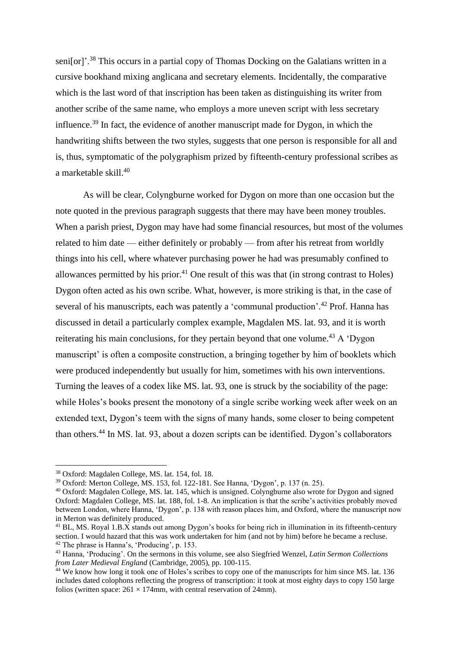seni[or]'.<sup>38</sup> This occurs in a partial copy of Thomas Docking on the Galatians written in a cursive bookhand mixing anglicana and secretary elements. Incidentally, the comparative which is the last word of that inscription has been taken as distinguishing its writer from another scribe of the same name, who employs a more uneven script with less secretary influence.<sup>39</sup> In fact, the evidence of another manuscript made for Dygon, in which the handwriting shifts between the two styles, suggests that one person is responsible for all and is, thus, symptomatic of the polygraphism prized by fifteenth-century professional scribes as a marketable skill.<sup>40</sup>

As will be clear, Colyngburne worked for Dygon on more than one occasion but the note quoted in the previous paragraph suggests that there may have been money troubles. When a parish priest, Dygon may have had some financial resources, but most of the volumes related to him date — either definitely or probably — from after his retreat from worldly things into his cell, where whatever purchasing power he had was presumably confined to allowances permitted by his prior.<sup>41</sup> One result of this was that (in strong contrast to Holes) Dygon often acted as his own scribe. What, however, is more striking is that, in the case of several of his manuscripts, each was patently a 'communal production'.<sup>42</sup> Prof. Hanna has discussed in detail a particularly complex example, Magdalen MS. lat. 93, and it is worth reiterating his main conclusions, for they pertain beyond that one volume.<sup>43</sup> A 'Dygon manuscript' is often a composite construction, a bringing together by him of booklets which were produced independently but usually for him, sometimes with his own interventions. Turning the leaves of a codex like MS. lat. 93, one is struck by the sociability of the page: while Holes's books present the monotony of a single scribe working week after week on an extended text, Dygon's teem with the signs of many hands, some closer to being competent than others.<sup>44</sup> In MS. lat. 93, about a dozen scripts can be identified. Dygon's collaborators

<sup>38</sup> Oxford: Magdalen College, MS. lat. 154, fol. 18.

<sup>39</sup> Oxford: Merton College, MS. 153, fol. 122-181. See Hanna, 'Dygon', p. 137 (n. 25).

<sup>40</sup> Oxford: Magdalen College, MS. lat. 145, which is unsigned. Colyngburne also wrote for Dygon and signed Oxford: Magdalen College, MS. lat. 188, fol. 1-8. An implication is that the scribe's activities probably moved between London, where Hanna, 'Dygon', p. 138 with reason places him, and Oxford, where the manuscript now in Merton was definitely produced.

<sup>&</sup>lt;sup>41</sup> BL, MS. Royal 1.B.X stands out among Dygon's books for being rich in illumination in its fifteenth-century section. I would hazard that this was work undertaken for him (and not by him) before he became a recluse.

<sup>42</sup> The phrase is Hanna's, 'Producing', p. 153.

<sup>43</sup> Hanna, 'Producing'. On the sermons in this volume, see also Siegfried Wenzel, *Latin Sermon Collections from Later Medieval England* (Cambridge, 2005), pp. 100-115.

<sup>&</sup>lt;sup>44</sup> We know how long it took one of Holes's scribes to copy one of the manuscripts for him since MS. lat. 136 includes dated colophons reflecting the progress of transcription: it took at most eighty days to copy 150 large folios (written space:  $261 \times 174$ mm, with central reservation of 24mm).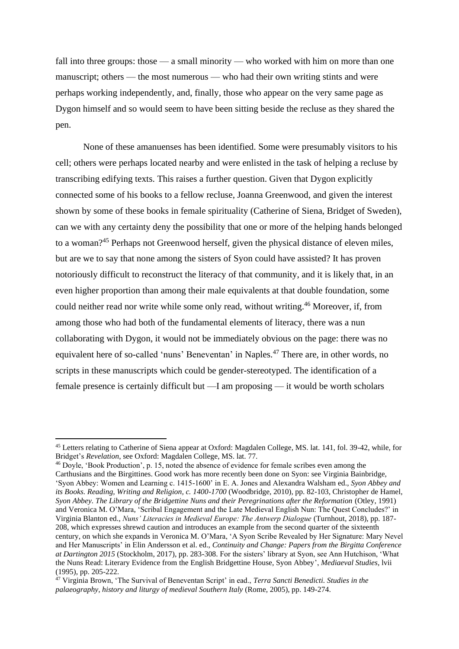fall into three groups: those — a small minority — who worked with him on more than one manuscript; others — the most numerous — who had their own writing stints and were perhaps working independently, and, finally, those who appear on the very same page as Dygon himself and so would seem to have been sitting beside the recluse as they shared the pen.

None of these amanuenses has been identified. Some were presumably visitors to his cell; others were perhaps located nearby and were enlisted in the task of helping a recluse by transcribing edifying texts. This raises a further question. Given that Dygon explicitly connected some of his books to a fellow recluse, Joanna Greenwood, and given the interest shown by some of these books in female spirituality (Catherine of Siena, Bridget of Sweden), can we with any certainty deny the possibility that one or more of the helping hands belonged to a woman?<sup>45</sup> Perhaps not Greenwood herself, given the physical distance of eleven miles, but are we to say that none among the sisters of Syon could have assisted? It has proven notoriously difficult to reconstruct the literacy of that community, and it is likely that, in an even higher proportion than among their male equivalents at that double foundation, some could neither read nor write while some only read, without writing.<sup>46</sup> Moreover, if, from among those who had both of the fundamental elements of literacy, there was a nun collaborating with Dygon, it would not be immediately obvious on the page: there was no equivalent here of so-called 'nuns' Beneventan' in Naples.<sup>47</sup> There are, in other words, no scripts in these manuscripts which could be gender-stereotyped. The identification of a female presence is certainly difficult but —I am proposing — it would be worth scholars

<sup>46</sup> Doyle, 'Book Production', p. 15, noted the absence of evidence for female scribes even among the Carthusians and the Birgittines. Good work has more recently been done on Syon: see Virginia Bainbridge, 'Syon Abbey: Women and Learning c. 1415-1600' in E. A. Jones and Alexandra Walsham ed., *Syon Abbey and its Books. Reading, Writing and Religion, c. 1400-1700* (Woodbridge, 2010), pp. 82-103, Christopher de Hamel, *Syon Abbey. The Library of the Bridgettine Nuns and their Peregrinations after the Reformation (Otley, 1991)* and Veronica M. O'Mara, 'Scribal Engagement and the Late Medieval English Nun: The Quest Concludes?' in Virginia Blanton ed., *Nuns' Literacies in Medieval Europe: The Antwerp Dialogue* (Turnhout, 2018), pp. 187- 208, which expresses shrewd caution and introduces an example from the second quarter of the sixteenth century, on which she expands in Veronica M. O'Mara, 'A Syon Scribe Revealed by Her Signature: Mary Nevel and Her Manuscripts' in Elin Andersson et al. ed., *Continuity and Change: Papers from the Birgitta Conference at Dartington 2015* (Stockholm, 2017), pp. 283-308. For the sisters' library at Syon, see Ann Hutchison, 'What the Nuns Read: Literary Evidence from the English Bridgettine House, Syon Abbey', *Mediaeval Studies*, lvii (1995), pp. 205-222.

<sup>45</sup> Letters relating to Catherine of Siena appear at Oxford: Magdalen College, MS. lat. 141, fol. 39-42, while, for Bridget's *Revelation*, see Oxford: Magdalen College, MS. lat. 77.

<sup>47</sup> Virginia Brown, 'The Survival of Beneventan Script' in ead., *Terra Sancti Benedicti. Studies in the palaeography, history and liturgy of medieval Southern Italy* (Rome, 2005), pp. 149-274.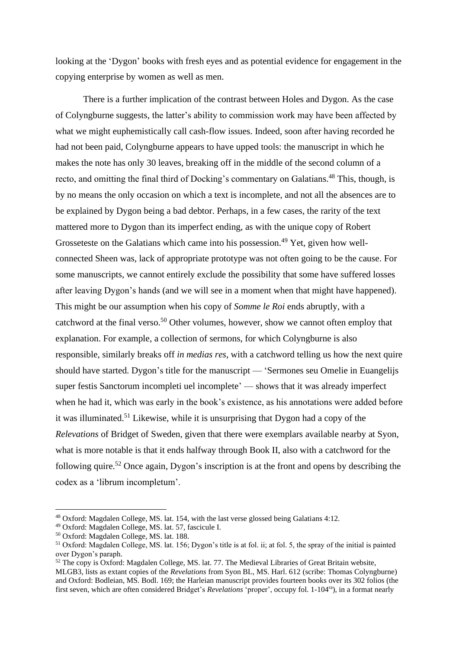looking at the 'Dygon' books with fresh eyes and as potential evidence for engagement in the copying enterprise by women as well as men.

There is a further implication of the contrast between Holes and Dygon. As the case of Colyngburne suggests, the latter's ability to commission work may have been affected by what we might euphemistically call cash-flow issues. Indeed, soon after having recorded he had not been paid, Colyngburne appears to have upped tools: the manuscript in which he makes the note has only 30 leaves, breaking off in the middle of the second column of a recto, and omitting the final third of Docking's commentary on Galatians.<sup>48</sup> This, though, is by no means the only occasion on which a text is incomplete, and not all the absences are to be explained by Dygon being a bad debtor. Perhaps, in a few cases, the rarity of the text mattered more to Dygon than its imperfect ending, as with the unique copy of Robert Grosseteste on the Galatians which came into his possession.<sup>49</sup> Yet, given how wellconnected Sheen was, lack of appropriate prototype was not often going to be the cause. For some manuscripts, we cannot entirely exclude the possibility that some have suffered losses after leaving Dygon's hands (and we will see in a moment when that might have happened). This might be our assumption when his copy of *Somme le Roi* ends abruptly, with a catchword at the final verso.<sup>50</sup> Other volumes, however, show we cannot often employ that explanation. For example, a collection of sermons, for which Colyngburne is also responsible, similarly breaks off *in medias res*, with a catchword telling us how the next quire should have started. Dygon's title for the manuscript — 'Sermones seu Omelie in Euangelijs super festis Sanctorum incompleti uel incomplete' — shows that it was already imperfect when he had it, which was early in the book's existence, as his annotations were added before it was illuminated.<sup>51</sup> Likewise, while it is unsurprising that Dygon had a copy of the *Relevations* of Bridget of Sweden, given that there were exemplars available nearby at Syon, what is more notable is that it ends halfway through Book II, also with a catchword for the following quire.<sup>52</sup> Once again, Dygon's inscription is at the front and opens by describing the codex as a 'librum incompletum'.

<sup>48</sup> Oxford: Magdalen College, MS. lat. 154, with the last verse glossed being Galatians 4:12.

<sup>49</sup> Oxford: Magdalen College, MS. lat. 57, fascicule I.

<sup>50</sup> Oxford: Magdalen College, MS. lat. 188.

<sup>51</sup> Oxford: Magdalen College, MS. lat. 156; Dygon's title is at fol. ii; at fol. 5, the spray of the initial is painted over Dygon's paraph.

<sup>52</sup> The copy is Oxford: Magdalen College, MS. lat. 77. The Medieval Libraries of Great Britain website, MLGB3, lists as extant copies of the *Revelations* from Syon BL, MS. Harl. 612 (scribe: Thomas Colyngburne) and Oxford: Bodleian, MS. Bodl. 169; the Harleian manuscript provides fourteen books over its 302 folios (the first seven, which are often considered Bridget's *Revelations* 'proper', occupy fol. 1-104ra), in a format nearly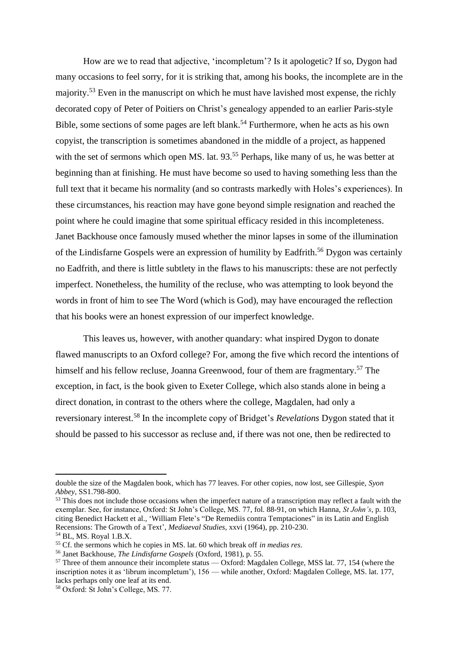How are we to read that adjective, 'incompletum'? Is it apologetic? If so, Dygon had many occasions to feel sorry, for it is striking that, among his books, the incomplete are in the majority.<sup>53</sup> Even in the manuscript on which he must have lavished most expense, the richly decorated copy of Peter of Poitiers on Christ's genealogy appended to an earlier Paris-style Bible, some sections of some pages are left blank.<sup>54</sup> Furthermore, when he acts as his own copyist, the transcription is sometimes abandoned in the middle of a project, as happened with the set of sermons which open MS. lat. 93.<sup>55</sup> Perhaps, like many of us, he was better at beginning than at finishing. He must have become so used to having something less than the full text that it became his normality (and so contrasts markedly with Holes's experiences). In these circumstances, his reaction may have gone beyond simple resignation and reached the point where he could imagine that some spiritual efficacy resided in this incompleteness. Janet Backhouse once famously mused whether the minor lapses in some of the illumination of the Lindisfarne Gospels were an expression of humility by Eadfrith.<sup>56</sup> Dygon was certainly no Eadfrith, and there is little subtlety in the flaws to his manuscripts: these are not perfectly imperfect. Nonetheless, the humility of the recluse, who was attempting to look beyond the words in front of him to see The Word (which is God), may have encouraged the reflection that his books were an honest expression of our imperfect knowledge.

This leaves us, however, with another quandary: what inspired Dygon to donate flawed manuscripts to an Oxford college? For, among the five which record the intentions of himself and his fellow recluse, Joanna Greenwood, four of them are fragmentary.<sup>57</sup> The exception, in fact, is the book given to Exeter College, which also stands alone in being a direct donation, in contrast to the others where the college, Magdalen, had only a reversionary interest.<sup>58</sup> In the incomplete copy of Bridget's *Revelations* Dygon stated that it should be passed to his successor as recluse and, if there was not one, then be redirected to

double the size of the Magdalen book, which has 77 leaves. For other copies, now lost, see Gillespie, *Syon Abbey*, SS1.798-800.

<sup>&</sup>lt;sup>53</sup> This does not include those occasions when the imperfect nature of a transcription may reflect a fault with the exemplar. See, for instance, Oxford: St John's College, MS. 77, fol. 88-91, on which Hanna, *St John's*, p. 103, citing Benedict Hackett et al., 'William Flete's "De Remediis contra Temptaciones" in its Latin and English Recensions: The Growth of a Text', *Mediaeval Studies*, xxvi (1964), pp. 210-230.

<sup>54</sup> BL, MS. Royal 1.B.X.

<sup>55</sup> Cf. the sermons which he copies in MS. lat. 60 which break off *in medias res*.

<sup>56</sup> Janet Backhouse, *The Lindisfarne Gospels* (Oxford, 1981), p. 55.

<sup>&</sup>lt;sup>57</sup> Three of them announce their incomplete status — Oxford: Magdalen College, MSS lat. 77, 154 (where the inscription notes it as 'librum incompletum'), 156 — while another, Oxford: Magdalen College, MS. lat. 177, lacks perhaps only one leaf at its end.

<sup>58</sup> Oxford: St John's College, MS. 77.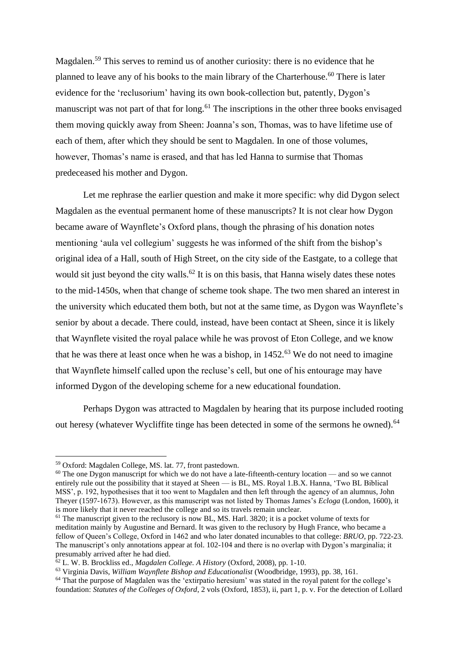Magdalen.<sup>59</sup> This serves to remind us of another curiosity: there is no evidence that he planned to leave any of his books to the main library of the Charterhouse.<sup>60</sup> There is later evidence for the 'reclusorium' having its own book-collection but, patently, Dygon's manuscript was not part of that for long.<sup>61</sup> The inscriptions in the other three books envisaged them moving quickly away from Sheen: Joanna's son, Thomas, was to have lifetime use of each of them, after which they should be sent to Magdalen. In one of those volumes, however, Thomas's name is erased, and that has led Hanna to surmise that Thomas predeceased his mother and Dygon.

Let me rephrase the earlier question and make it more specific: why did Dygon select Magdalen as the eventual permanent home of these manuscripts? It is not clear how Dygon became aware of Waynflete's Oxford plans, though the phrasing of his donation notes mentioning 'aula vel collegium' suggests he was informed of the shift from the bishop's original idea of a Hall, south of High Street, on the city side of the Eastgate, to a college that would sit just beyond the city walls.<sup>62</sup> It is on this basis, that Hanna wisely dates these notes to the mid-1450s, when that change of scheme took shape. The two men shared an interest in the university which educated them both, but not at the same time, as Dygon was Waynflete's senior by about a decade. There could, instead, have been contact at Sheen, since it is likely that Waynflete visited the royal palace while he was provost of Eton College, and we know that he was there at least once when he was a bishop, in  $1452<sup>63</sup>$  We do not need to imagine that Waynflete himself called upon the recluse's cell, but one of his entourage may have informed Dygon of the developing scheme for a new educational foundation.

Perhaps Dygon was attracted to Magdalen by hearing that its purpose included rooting out heresy (whatever Wycliffite tinge has been detected in some of the sermons he owned).<sup>64</sup>

<sup>59</sup> Oxford: Magdalen College, MS. lat. 77, front pastedown.

 $60$  The one Dygon manuscript for which we do not have a late-fifteenth-century location — and so we cannot entirely rule out the possibility that it stayed at Sheen — is BL, MS. Royal 1.B.X. Hanna, 'Two BL Biblical MSS', p. 192, hypothesises that it too went to Magdalen and then left through the agency of an alumnus, John Theyer (1597-1673). However, as this manuscript was not listed by Thomas James's *Ecloga* (London, 1600), it is more likely that it never reached the college and so its travels remain unclear.

 $61$  The manuscript given to the reclusory is now BL, MS. Harl. 3820; it is a pocket volume of texts for meditation mainly by Augustine and Bernard. It was given to the reclusory by Hugh France, who became a fellow of Queen's College, Oxford in 1462 and who later donated incunables to that college: *BRUO*, pp. 722-23. The manuscript's only annotations appear at fol. 102-104 and there is no overlap with Dygon's marginalia; it presumably arrived after he had died.

<sup>62</sup> L. W. B. Brockliss ed., *Magdalen College. A History* (Oxford, 2008), pp. 1-10.

<sup>63</sup> Virginia Davis, *William Waynflete Bishop and Educationalist* (Woodbridge, 1993), pp. 38, 161.

<sup>&</sup>lt;sup>64</sup> That the purpose of Magdalen was the 'extirpatio heresium' was stated in the royal patent for the college's foundation: *Statutes of the Colleges of Oxford*, 2 vols (Oxford, 1853), ii, part 1, p. v. For the detection of Lollard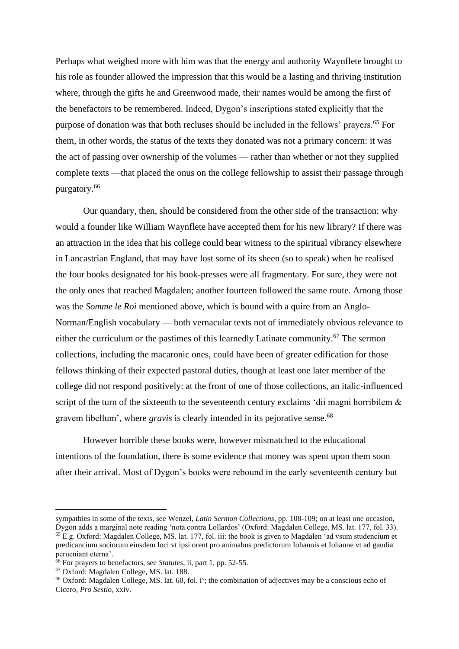Perhaps what weighed more with him was that the energy and authority Waynflete brought to his role as founder allowed the impression that this would be a lasting and thriving institution where, through the gifts he and Greenwood made, their names would be among the first of the benefactors to be remembered. Indeed, Dygon's inscriptions stated explicitly that the purpose of donation was that both recluses should be included in the fellows' prayers.<sup>65</sup> For them, in other words, the status of the texts they donated was not a primary concern: it was the act of passing over ownership of the volumes — rather than whether or not they supplied complete texts —that placed the onus on the college fellowship to assist their passage through purgatory.<sup>66</sup>

Our quandary, then, should be considered from the other side of the transaction: why would a founder like William Waynflete have accepted them for his new library? If there was an attraction in the idea that his college could bear witness to the spiritual vibrancy elsewhere in Lancastrian England, that may have lost some of its sheen (so to speak) when he realised the four books designated for his book-presses were all fragmentary. For sure, they were not the only ones that reached Magdalen; another fourteen followed the same route. Among those was the *Somme le Roi* mentioned above, which is bound with a quire from an Anglo-Norman/English vocabulary — both vernacular texts not of immediately obvious relevance to either the curriculum or the pastimes of this learnedly Latinate community.<sup>67</sup> The sermon collections, including the macaronic ones, could have been of greater edification for those fellows thinking of their expected pastoral duties, though at least one later member of the college did not respond positively: at the front of one of those collections, an italic-influenced script of the turn of the sixteenth to the seventeenth century exclaims 'dii magni horribilem & gravem libellum', where *gravis* is clearly intended in its pejorative sense.<sup>68</sup>

However horrible these books were, however mismatched to the educational intentions of the foundation, there is some evidence that money was spent upon them soon after their arrival. Most of Dygon's books were rebound in the early seventeenth century but

sympathies in some of the texts, see Wenzel, *Latin Sermon Collections*, pp. 108-109; on at least one occasion, Dygon adds a marginal note reading 'nota contra Lollardos' (Oxford: Magdalen College, MS. lat. 177, fol. 33). <sup>65</sup> E.g. Oxford: Magdalen College, MS. lat. 177, fol. iii: the book is given to Magdalen 'ad vsum studencium et predicancium sociorum eiusdem loci vt ipsi orent pro animabus predictorum Iohannis et Iohanne vt ad gaudia perueniant eterna'.

<sup>66</sup> For prayers to benefactors, see *Statutes*, ii, part 1, pp. 52-55.

<sup>67</sup> Oxford: Magdalen College, MS. lat. 188.

 $68$  Oxford: Magdalen College, MS. lat. 60, fol. i<sup>v</sup>; the combination of adjectives may be a conscious echo of Cicero, *Pro Sestio*, xxiv.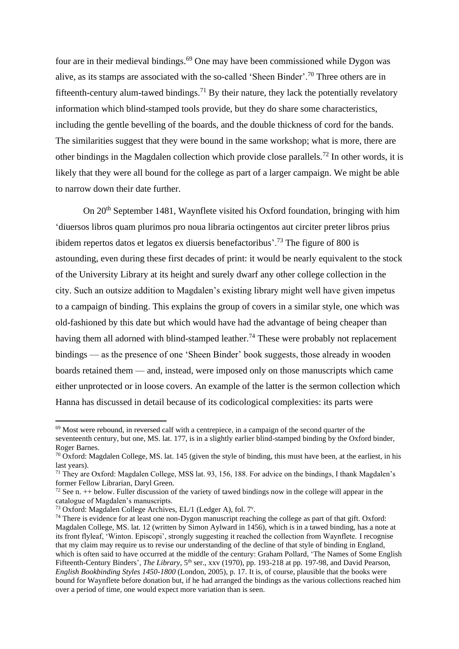four are in their medieval bindings. <sup>69</sup> One may have been commissioned while Dygon was alive, as its stamps are associated with the so-called 'Sheen Binder'.<sup>70</sup> Three others are in fifteenth-century alum-tawed bindings.<sup>71</sup> By their nature, they lack the potentially revelatory information which blind-stamped tools provide, but they do share some characteristics, including the gentle bevelling of the boards, and the double thickness of cord for the bands. The similarities suggest that they were bound in the same workshop; what is more, there are other bindings in the Magdalen collection which provide close parallels.<sup>72</sup> In other words, it is likely that they were all bound for the college as part of a larger campaign. We might be able to narrow down their date further.

On 20<sup>th</sup> September 1481, Waynflete visited his Oxford foundation, bringing with him 'diuersos libros quam plurimos pro noua libraria octingentos aut circiter preter libros prius ibidem repertos datos et legatos ex diuersis benefactoribus'.<sup>73</sup> The figure of 800 is astounding, even during these first decades of print: it would be nearly equivalent to the stock of the University Library at its height and surely dwarf any other college collection in the city. Such an outsize addition to Magdalen's existing library might well have given impetus to a campaign of binding. This explains the group of covers in a similar style, one which was old-fashioned by this date but which would have had the advantage of being cheaper than having them all adorned with blind-stamped leather.<sup>74</sup> These were probably not replacement bindings — as the presence of one 'Sheen Binder' book suggests, those already in wooden boards retained them — and, instead, were imposed only on those manuscripts which came either unprotected or in loose covers. An example of the latter is the sermon collection which Hanna has discussed in detail because of its codicological complexities: its parts were

 $69$  Most were rebound, in reversed calf with a centrepiece, in a campaign of the second quarter of the seventeenth century, but one, MS. lat. 177, is in a slightly earlier blind-stamped binding by the Oxford binder, Roger Barnes.

 $70$  Oxford: Magdalen College, MS. lat. 145 (given the style of binding, this must have been, at the earliest, in his last years).

 $71$  They are Oxford: Magdalen College, MSS lat. 93, 156, 188. For advice on the bindings, I thank Magdalen's former Fellow Librarian, Daryl Green.

 $72$  See n.  $++$  below. Fuller discussion of the variety of tawed bindings now in the college will appear in the catalogue of Magdalen's manuscripts.

<sup>73</sup> Oxford: Magdalen College Archives, EL/1 (Ledger A), fol. 7<sup>v</sup>.

<sup>&</sup>lt;sup>74</sup> There is evidence for at least one non-Dygon manuscript reaching the college as part of that gift. Oxford: Magdalen College, MS. lat. 12 (written by Simon Aylward in 1456), which is in a tawed binding, has a note at its front flyleaf, 'Winton. Episcopi', strongly suggesting it reached the collection from Waynflete. I recognise that my claim may require us to revise our understanding of the decline of that style of binding in England, which is often said to have occurred at the middle of the century: Graham Pollard, 'The Names of Some English Fifteenth-Century Binders', *The Library*, 5<sup>th</sup> ser., xxv (1970), pp. 193-218 at pp. 197-98, and David Pearson, *English Bookbinding Styles 1450-1800* (London, 2005), p. 17. It is, of course, plausible that the books were bound for Waynflete before donation but, if he had arranged the bindings as the various collections reached him over a period of time, one would expect more variation than is seen.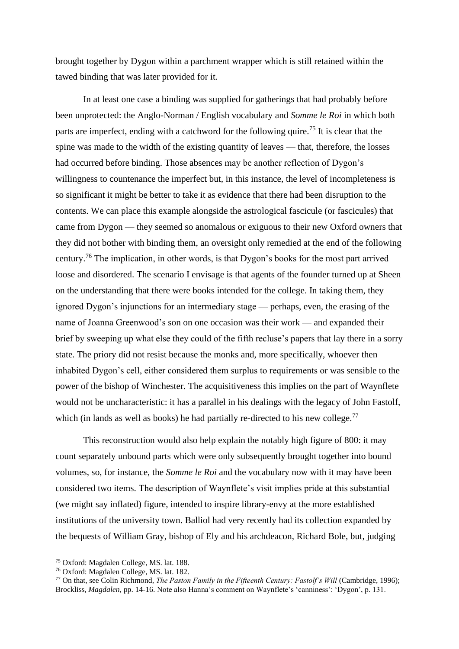brought together by Dygon within a parchment wrapper which is still retained within the tawed binding that was later provided for it.

In at least one case a binding was supplied for gatherings that had probably before been unprotected: the Anglo-Norman / English vocabulary and *Somme le Roi* in which both parts are imperfect, ending with a catchword for the following quire.<sup>75</sup> It is clear that the spine was made to the width of the existing quantity of leaves — that, therefore, the losses had occurred before binding. Those absences may be another reflection of Dygon's willingness to countenance the imperfect but, in this instance, the level of incompleteness is so significant it might be better to take it as evidence that there had been disruption to the contents. We can place this example alongside the astrological fascicule (or fascicules) that came from Dygon — they seemed so anomalous or exiguous to their new Oxford owners that they did not bother with binding them, an oversight only remedied at the end of the following century.<sup>76</sup> The implication, in other words, is that Dygon's books for the most part arrived loose and disordered. The scenario I envisage is that agents of the founder turned up at Sheen on the understanding that there were books intended for the college. In taking them, they ignored Dygon's injunctions for an intermediary stage — perhaps, even, the erasing of the name of Joanna Greenwood's son on one occasion was their work — and expanded their brief by sweeping up what else they could of the fifth recluse's papers that lay there in a sorry state. The priory did not resist because the monks and, more specifically, whoever then inhabited Dygon's cell, either considered them surplus to requirements or was sensible to the power of the bishop of Winchester. The acquisitiveness this implies on the part of Waynflete would not be uncharacteristic: it has a parallel in his dealings with the legacy of John Fastolf, which (in lands as well as books) he had partially re-directed to his new college. $^{77}$ 

This reconstruction would also help explain the notably high figure of 800: it may count separately unbound parts which were only subsequently brought together into bound volumes, so, for instance, the *Somme le Roi* and the vocabulary now with it may have been considered two items. The description of Waynflete's visit implies pride at this substantial (we might say inflated) figure, intended to inspire library-envy at the more established institutions of the university town. Balliol had very recently had its collection expanded by the bequests of William Gray, bishop of Ely and his archdeacon, Richard Bole, but, judging

<sup>75</sup> Oxford: Magdalen College, MS. lat. 188.

<sup>76</sup> Oxford: Magdalen College, MS. lat. 182.

<sup>&</sup>lt;sup>77</sup> On that, see Colin Richmond, *The Paston Family in the Fifteenth Century: Fastolf's Will* (Cambridge, 1996); Brockliss, *Magdalen*, pp. 14-16. Note also Hanna's comment on Waynflete's 'canniness': 'Dygon', p. 131.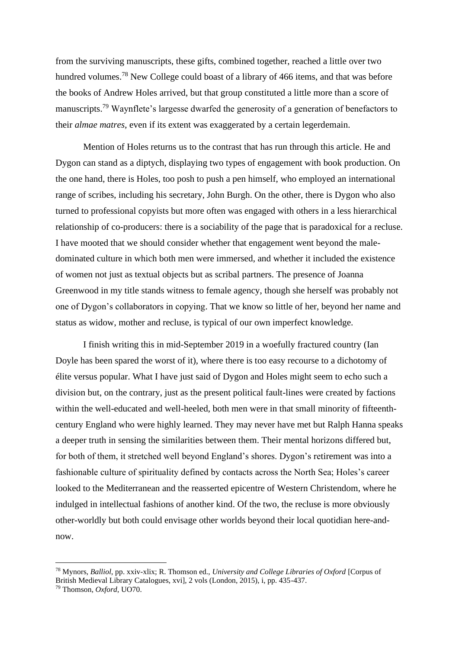from the surviving manuscripts, these gifts, combined together, reached a little over two hundred volumes.<sup>78</sup> New College could boast of a library of 466 items, and that was before the books of Andrew Holes arrived, but that group constituted a little more than a score of manuscripts.<sup>79</sup> Waynflete's largesse dwarfed the generosity of a generation of benefactors to their *almae matres*, even if its extent was exaggerated by a certain legerdemain.

Mention of Holes returns us to the contrast that has run through this article. He and Dygon can stand as a diptych, displaying two types of engagement with book production. On the one hand, there is Holes, too posh to push a pen himself, who employed an international range of scribes, including his secretary, John Burgh. On the other, there is Dygon who also turned to professional copyists but more often was engaged with others in a less hierarchical relationship of co-producers: there is a sociability of the page that is paradoxical for a recluse. I have mooted that we should consider whether that engagement went beyond the maledominated culture in which both men were immersed, and whether it included the existence of women not just as textual objects but as scribal partners. The presence of Joanna Greenwood in my title stands witness to female agency, though she herself was probably not one of Dygon's collaborators in copying. That we know so little of her, beyond her name and status as widow, mother and recluse, is typical of our own imperfect knowledge.

I finish writing this in mid-September 2019 in a woefully fractured country (Ian Doyle has been spared the worst of it), where there is too easy recourse to a dichotomy of élite versus popular. What I have just said of Dygon and Holes might seem to echo such a division but, on the contrary, just as the present political fault-lines were created by factions within the well-educated and well-heeled, both men were in that small minority of fifteenthcentury England who were highly learned. They may never have met but Ralph Hanna speaks a deeper truth in sensing the similarities between them. Their mental horizons differed but, for both of them, it stretched well beyond England's shores. Dygon's retirement was into a fashionable culture of spirituality defined by contacts across the North Sea; Holes's career looked to the Mediterranean and the reasserted epicentre of Western Christendom, where he indulged in intellectual fashions of another kind. Of the two, the recluse is more obviously other-worldly but both could envisage other worlds beyond their local quotidian here-andnow.

<sup>78</sup> Mynors, *Balliol*, pp. xxiv-xlix; R. Thomson ed., *University and College Libraries of Oxford* [Corpus of British Medieval Library Catalogues, xvi], 2 vols (London, 2015), i, pp. 435-437.

<sup>79</sup> Thomson, *Oxford*, UO70.